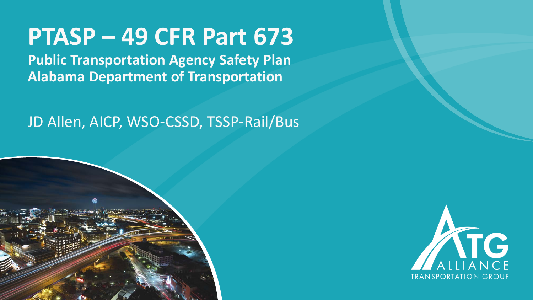# **PTASP – 49 CFR Part 673**

**Public Transportation Agency Safety Plan Alabama Department of Transportation** 

#### JD Allen, AICP, WSO-CSSD, TSSP-Rail/Bus



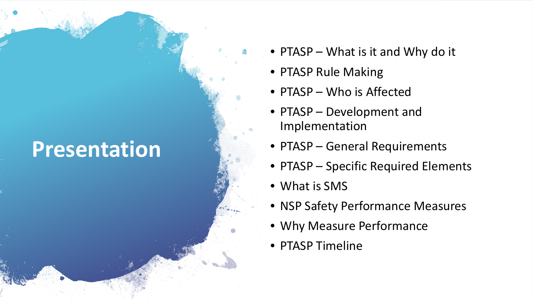# **Presentation**

- PTASP What is it and Why do it
- PTASP Rule Making
- PTASP Who is Affected
- PTASP Development and Implementation
- PTASP General Requirements
- PTASP Specific Required Elements
- What is SMS
- NSP Safety Performance Measures
- Why Measure Performance
- PTASP Timeline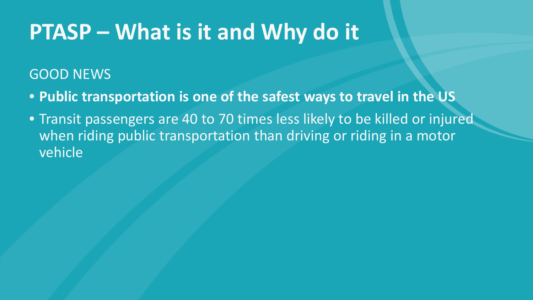# **PTASP – What is it and Why do it**

#### GOOD NEWS

- **Public transportation is one of the safest ways to travel in the US**
- Transit passengers are 40 to 70 times less likely to be killed or injured when riding public transportation than driving or riding in a motor vehicle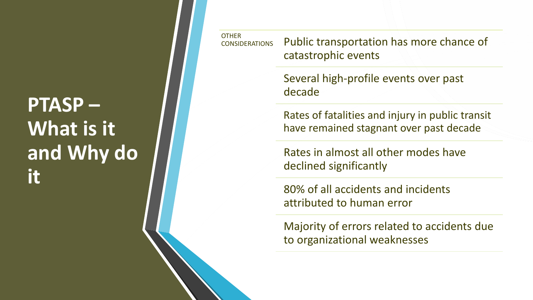### **PTASP – What is it and Why do it**

**OTHER** CONSIDERATIONS Public transportation has more chance of catastrophic events

> Several high-profile events over past decade

Rates of fatalities and injury in public transit have remained stagnant over past decade

Rates in almost all other modes have declined significantly

80% of all accidents and incidents attributed to human error

Majority of errors related to accidents due to organizational weaknesses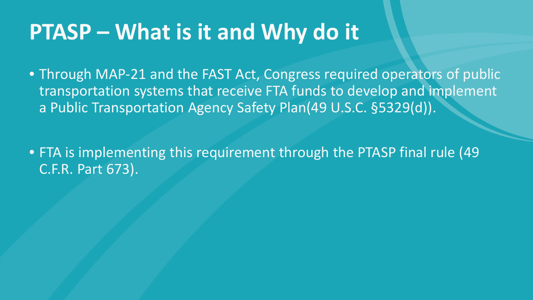### **PTASP – What is it and Why do it**

• Through MAP-21 and the FAST Act, Congress required operators of public transportation systems that receive FTA funds to develop and implement a Public Transportation Agency Safety Plan(49 U.S.C. §5329(d)).

• FTA is implementing this requirement through the PTASP final rule (49 C.F.R. Part 673).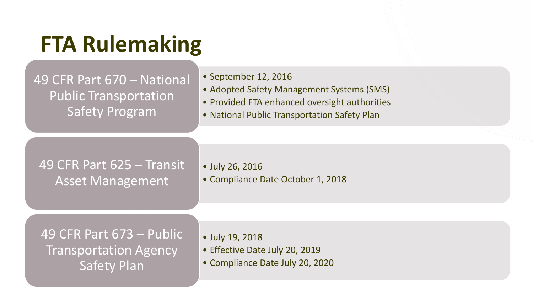# **FTA Rulemaking**

#### 49 CFR Part 670 – National Public Transportation Safety Program

- September 12, 2016
- Adopted Safety Management Systems (SMS)
- Provided FTA enhanced oversight authorities
- National Public Transportation Safety Plan

#### 49 CFR Part 625 – Transit Asset Management

- July 26, 2016
- Compliance Date October 1, 2018

49 CFR Part 673 – Public Transportation Agency Safety Plan

- July 19, 2018
- Effective Date July 20, 2019
- Compliance Date July 20, 2020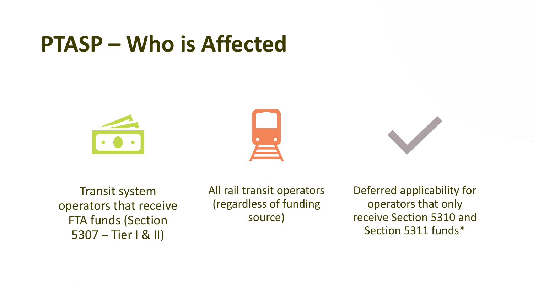### **PTASP – Who is Affected**





Transit system operators that receive FTA funds (Section 5307 – Tier I & II)

All rail transit operators (regardless of funding source)

Deferred applicability for operators that only receive Section 5310 and Section 5311 funds\*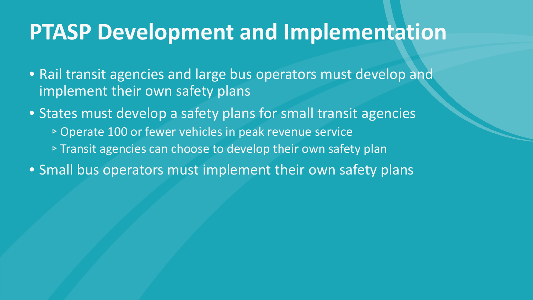#### **PTASP Development and Implementation**

• Rail transit agencies and large bus operators must develop and implement their own safety plans

• States must develop a safety plans for small transit agencies

- ▹Operate 100 or fewer vehicles in peak revenue service
- ▹Transit agencies can choose to develop their own safety plan
- Small bus operators must implement their own safety plans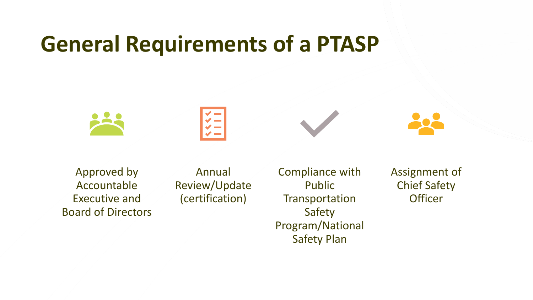### **General Requirements of a PTASP**







Approved by Accountable Executive and Board of Directors

Annual Review/Update (certification)

Compliance with Public **Transportation** Safety Program/National Safety Plan

Assignment of Chief Safety **Officer**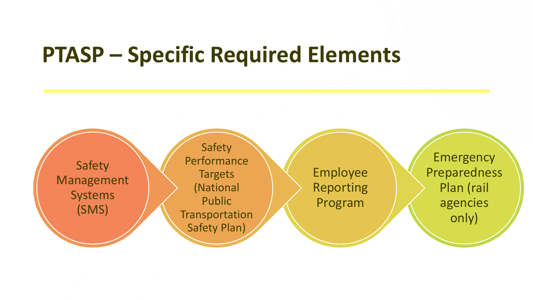#### **PTASP – Specific Required Elements**

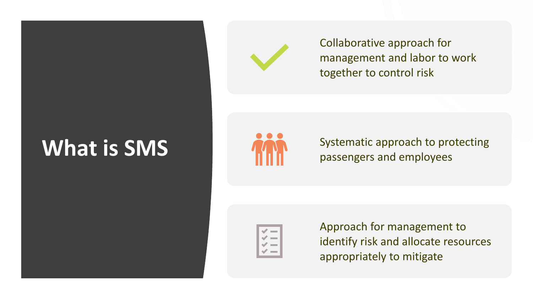# **What is SMS**



Collaborative approach for management and labor to work together to control risk



Systematic approach to protecting passengers and employees



Approach for management to identify risk and allocate resources appropriately to mitigate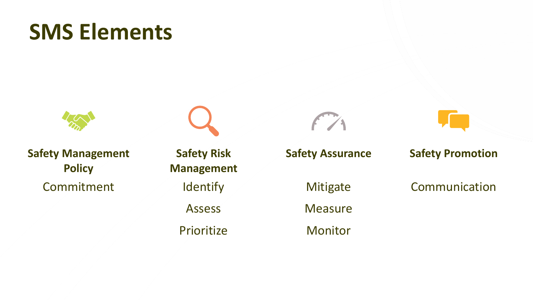# **SMS Elements**



**Safety Management Policy** Commitment

**Safety Risk Management Identify** Assess Prioritize



**Safety Promotion**

Communication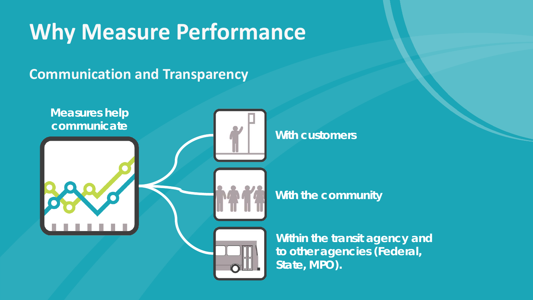# **Why Measure Performance**

#### **Communication and Transparency**

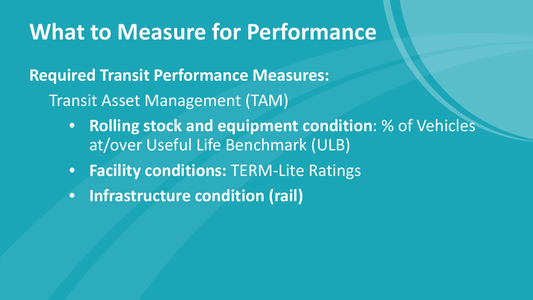#### **What to Measure for Performance**

**Required Transit Performance Measures:** Transit Asset Management (TAM)

- **Rolling stock and equipment condition**: % of Vehicles at/over Useful Life Benchmark (ULB)
- **Facility conditions:** TERM-Lite Ratings
- **Infrastructure condition (rail)**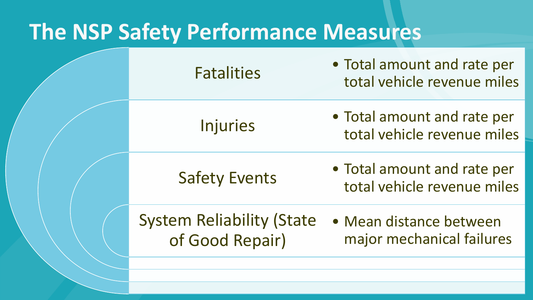#### **The NSP Safety Performance Measures**

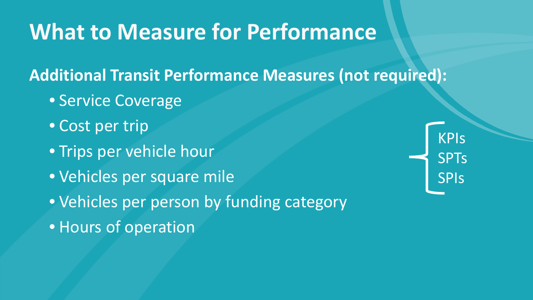### **What to Measure for Performance**

**Additional Transit Performance Measures (not required):**

- Service Coverage
- Cost per trip
- Trips per vehicle hour
- Vehicles per square mile
- Vehicles per person by funding category
- Hours of operation

KPIs SPTs SPIs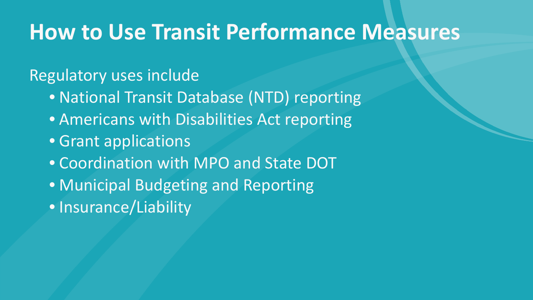#### **How to Use Transit Performance Measures**

#### Regulatory uses include

- National Transit Database (NTD) reporting
- Americans with Disabilities Act reporting
- Grant applications
- Coordination with MPO and State DOT
- Municipal Budgeting and Reporting
- Insurance/Liability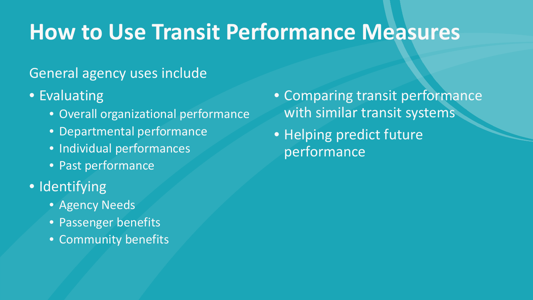# **How to Use Transit Performance Measures**

#### General agency uses include

- Evaluating
	- Overall organizational performance
	- Departmental performance
	- Individual performances
	- Past performance
- Identifying
	- Agency Needs
	- Passenger benefits
	- Community benefits
- Comparing transit performance with similar transit systems
- Helping predict future performance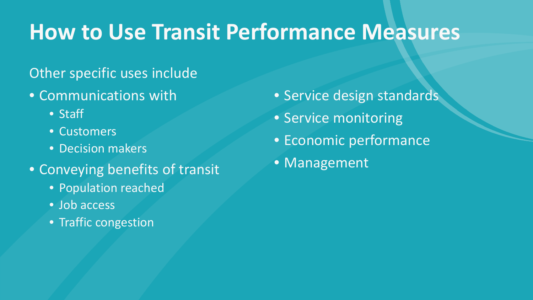# **How to Use Transit Performance Measures**

#### Other specific uses include

- Communications with
	- Staff
	- Customers
	- Decision makers
- Conveying benefits of transit
	- Population reached
	- Job access
	- Traffic congestion
- Service design standards • Service monitoring
- Economic performance
- Management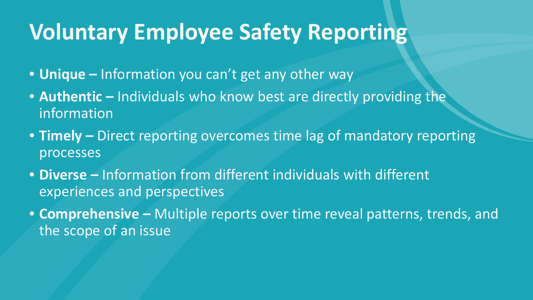### **Voluntary Employee Safety Reporting**

- **Unique –** Information you can't get any other way
- **Authentic –** Individuals who know best are directly providing the information
- **Timely –** Direct reporting overcomes time lag of mandatory reporting processes
- **Diverse –** Information from different individuals with different experiences and perspectives
- **Comprehensive –** Multiple reports over time reveal patterns, trends, and the scope of an issue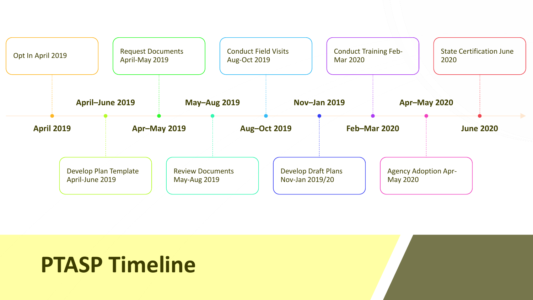

### **PTASP Timeline**